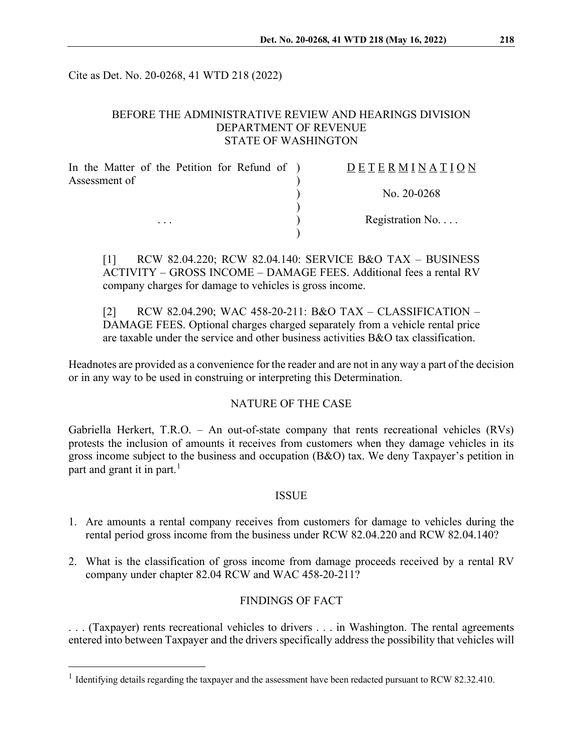Cite as Det. No. 20-0268, 41 WTD 218 (2022)

## BEFORE THE ADMINISTRATIVE REVIEW AND HEARINGS DIVISION DEPARTMENT OF REVENUE STATE OF WASHINGTON

| In the Matter of the Petition for Refund of ) | DETERMINATION     |
|-----------------------------------------------|-------------------|
| Assessment of<br>$\cdot$ $\cdot$ $\cdot$      | No. $20-0268$     |
|                                               | Registration $No$ |
|                                               |                   |

[1] RCW 82.04.220; RCW 82.04.140: SERVICE B&O TAX – BUSINESS ACTIVITY – GROSS INCOME – DAMAGE FEES. Additional fees a rental RV company charges for damage to vehicles is gross income.

[2] RCW 82.04.290; WAC 458-20-211: B&O TAX – CLASSIFICATION – DAMAGE FEES. Optional charges charged separately from a vehicle rental price are taxable under the service and other business activities B&O tax classification.

Headnotes are provided as a convenience for the reader and are not in any way a part of the decision or in any way to be used in construing or interpreting this Determination.

# NATURE OF THE CASE

Gabriella Herkert, T.R.O. – An out-of-state company that rents recreational vehicles (RVs) protests the inclusion of amounts it receives from customers when they damage vehicles in its gross income subject to the business and occupation (B&O) tax. We deny Taxpayer's petition in part and grant it in part.<sup>[1](#page-0-0)</sup>

### ISSUE

- 1. Are amounts a rental company receives from customers for damage to vehicles during the rental period gross income from the business under RCW 82.04.220 and RCW 82.04.140?
- 2. What is the classification of gross income from damage proceeds received by a rental RV company under chapter 82.04 RCW and WAC 458-20-211?

### FINDINGS OF FACT

. . . (Taxpayer) rents recreational vehicles to drivers . . . in Washington. The rental agreements entered into between Taxpayer and the drivers specifically address the possibility that vehicles will

<span id="page-0-0"></span><sup>&</sup>lt;sup>1</sup> Identifying details regarding the taxpayer and the assessment have been redacted pursuant to RCW 82.32.410.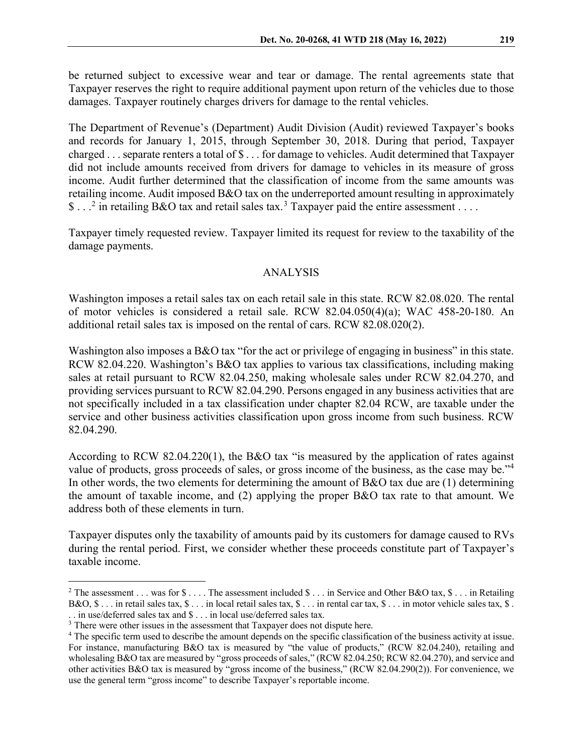be returned subject to excessive wear and tear or damage. The rental agreements state that Taxpayer reserves the right to require additional payment upon return of the vehicles due to those damages. Taxpayer routinely charges drivers for damage to the rental vehicles.

The Department of Revenue's (Department) Audit Division (Audit) reviewed Taxpayer's books and records for January 1, 2015, through September 30, 2018. During that period, Taxpayer charged . . . separate renters a total of \$ . . . for damage to vehicles. Audit determined that Taxpayer did not include amounts received from drivers for damage to vehicles in its measure of gross income. Audit further determined that the classification of income from the same amounts was retailing income. Audit imposed B&O tax on the underreported amount resulting in approximately \$ . . .<sup>[2](#page-1-0)</sup> in retailing B&O tax and retail sales tax.<sup>[3](#page-1-1)</sup> Taxpayer paid the entire assessment . . . .

Taxpayer timely requested review. Taxpayer limited its request for review to the taxability of the damage payments.

#### ANALYSIS

Washington imposes a retail sales tax on each retail sale in this state. RCW 82.08.020. The rental of motor vehicles is considered a retail sale. RCW 82.04.050(4)(a); WAC 458-20-180. An additional retail sales tax is imposed on the rental of cars. RCW 82.08.020(2).

Washington also imposes a B&O tax "for the act or privilege of engaging in business" in this state. RCW 82.04.220. Washington's B&O tax applies to various tax classifications, including making sales at retail pursuant to RCW 82.04.250, making wholesale sales under RCW 82.04.270, and providing services pursuant to RCW 82.04.290. Persons engaged in any business activities that are not specifically included in a tax classification under chapter 82.04 RCW, are taxable under the service and other business activities classification upon gross income from such business. RCW 82.04.290.

According to RCW 82.04.220(1), the B&O tax "is measured by the application of rates against value of products, gross proceeds of sales, or gross income of the business, as the case may be."[4](#page-1-2) In other words, the two elements for determining the amount of B&O tax due are (1) determining the amount of taxable income, and (2) applying the proper B&O tax rate to that amount. We address both of these elements in turn.

Taxpayer disputes only the taxability of amounts paid by its customers for damage caused to RVs during the rental period. First, we consider whether these proceeds constitute part of Taxpayer's taxable income.

<span id="page-1-0"></span><sup>&</sup>lt;sup>2</sup> The assessment . . . was for  $\text{\$} \ldots$  The assessment included  $\text{\$} \ldots$  in Service and Other B&O tax,  $\text{\$} \ldots$  in Retailing B&O,  $\$\ldots\]$  in retail sales tax,  $\$\ldots\]$  in local retail sales tax,  $\$\ldots\]$  in rental car tax,  $\$\ldots\]$  in motor vehicle sales tax,  $\$\ldots\]$ . . in use/deferred sales tax and \$ . . . in local use/deferred sales tax.

<span id="page-1-1"></span><sup>&</sup>lt;sup>3</sup> There were other issues in the assessment that Taxpayer does not dispute here.

<span id="page-1-2"></span><sup>4</sup> The specific term used to describe the amount depends on the specific classification of the business activity at issue. For instance, manufacturing B&O tax is measured by "the value of products," (RCW 82.04.240), retailing and wholesaling B&O tax are measured by "gross proceeds of sales," (RCW 82.04.250; RCW 82.04.270), and service and other activities B&O tax is measured by "gross income of the business," (RCW 82.04.290(2)). For convenience, we use the general term "gross income" to describe Taxpayer's reportable income.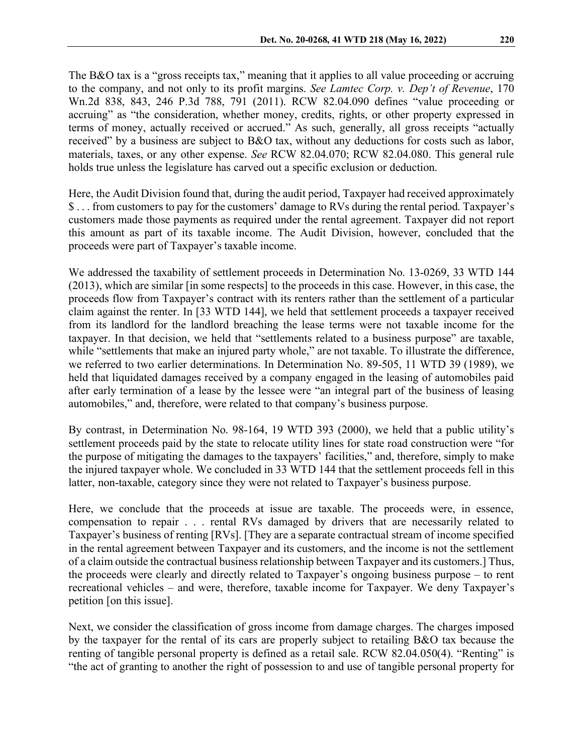The B&O tax is a "gross receipts tax," meaning that it applies to all value proceeding or accruing to the company, and not only to its profit margins. *See Lamtec Corp. v. Dep't of Revenue*, 170 Wn.2d 838, 843, 246 P.3d 788, 791 (2011). RCW 82.04.090 defines "value proceeding or accruing" as "the consideration, whether money, credits, rights, or other property expressed in terms of money, actually received or accrued." As such, generally, all gross receipts "actually received" by a business are subject to B&O tax, without any deductions for costs such as labor, materials, taxes, or any other expense. *See* RCW 82.04.070; RCW 82.04.080. This general rule holds true unless the legislature has carved out a specific exclusion or deduction.

Here, the Audit Division found that, during the audit period, Taxpayer had received approximately \$ . . . from customers to pay for the customers' damage to RVs during the rental period. Taxpayer's customers made those payments as required under the rental agreement. Taxpayer did not report this amount as part of its taxable income. The Audit Division, however, concluded that the proceeds were part of Taxpayer's taxable income.

We addressed the taxability of settlement proceeds in Determination No. 13-0269, 33 WTD 144 (2013), which are similar [in some respects] to the proceeds in this case. However, in this case, the proceeds flow from Taxpayer's contract with its renters rather than the settlement of a particular claim against the renter. In [33 WTD 144], we held that settlement proceeds a taxpayer received from its landlord for the landlord breaching the lease terms were not taxable income for the taxpayer. In that decision, we held that "settlements related to a business purpose" are taxable, while "settlements that make an injured party whole," are not taxable. To illustrate the difference, we referred to two earlier determinations. In Determination No. 89-505, 11 WTD 39 (1989), we held that liquidated damages received by a company engaged in the leasing of automobiles paid after early termination of a lease by the lessee were "an integral part of the business of leasing automobiles," and, therefore, were related to that company's business purpose.

By contrast, in Determination No. 98-164, 19 WTD 393 (2000), we held that a public utility's settlement proceeds paid by the state to relocate utility lines for state road construction were "for the purpose of mitigating the damages to the taxpayers' facilities," and, therefore, simply to make the injured taxpayer whole. We concluded in 33 WTD 144 that the settlement proceeds fell in this latter, non-taxable, category since they were not related to Taxpayer's business purpose.

Here, we conclude that the proceeds at issue are taxable. The proceeds were, in essence, compensation to repair . . . rental RVs damaged by drivers that are necessarily related to Taxpayer's business of renting [RVs]. [They are a separate contractual stream of income specified in the rental agreement between Taxpayer and its customers, and the income is not the settlement of a claim outside the contractual business relationship between Taxpayer and its customers.] Thus, the proceeds were clearly and directly related to Taxpayer's ongoing business purpose – to rent recreational vehicles – and were, therefore, taxable income for Taxpayer. We deny Taxpayer's petition [on this issue].

Next, we consider the classification of gross income from damage charges. The charges imposed by the taxpayer for the rental of its cars are properly subject to retailing B&O tax because the renting of tangible personal property is defined as a retail sale. RCW 82.04.050(4). "Renting" is "the act of granting to another the right of possession to and use of tangible personal property for